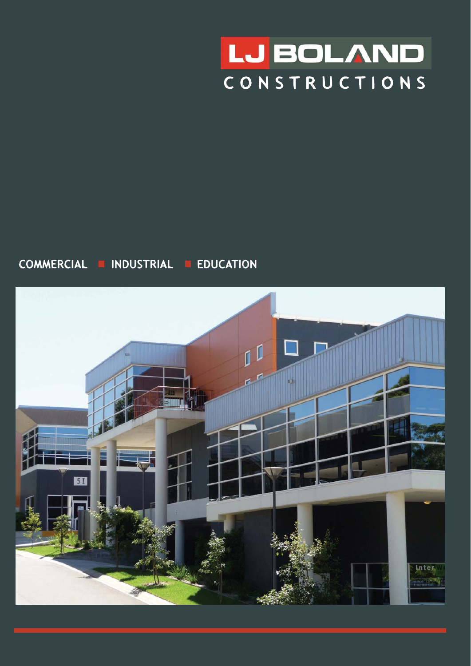

## COMMERCIAL **E INDUSTRIAL E EDUCATION**

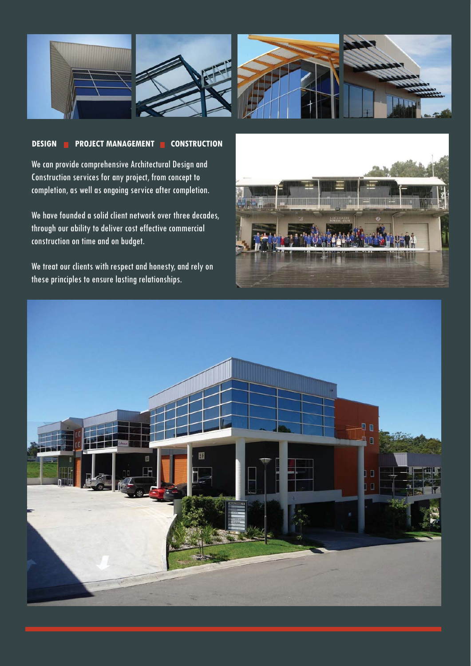

## **DESIGN PROJECT MANAGEMENT CONSTRUCTION**

We can provide comprehensive Architectural Design and Construction services for any project, from concept to completion, as well as ongoing service after completion.

We have founded a solid client network over three decades, through our ability to deliver cost effective commercial construction on time and on budget.

We treat our clients with respect and honesty, and rely on these principles to ensure lasting relationships.



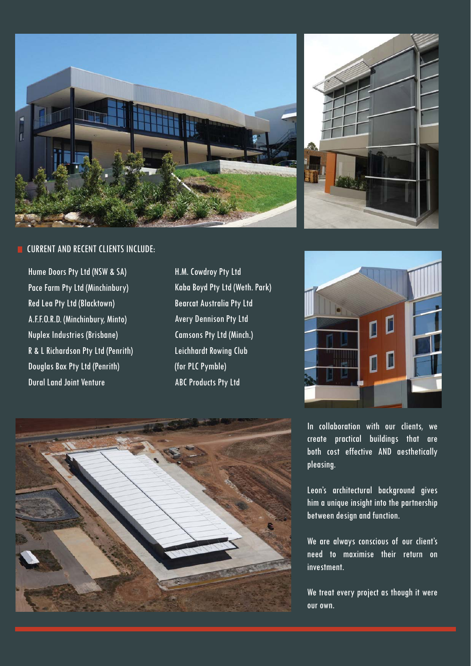

## CURRENT AND RECENT CLIENTS INCLUDE:

Hume Doors Pty Ltd (NSW & SA) Pace Farm Pty Ltd (Minchinbury) Red Lea Pty Ltd (Blacktown) A.F.F.O.R.D. (Minchinbury, Minto) Nuplex Industries (Brisbane) R & L Richardson Pty Ltd (Penrith) Douglas Box Pty Ltd (Penrith) Dural Land Joint Venture

H.M. Cowdroy Pty Ltd Kaba Boyd Pty Ltd (Weth. Park) Bearcat Australia Pty Ltd Avery Dennison Pty Ltd Camsons Pty Ltd (Minch.) Leichhardt Rowing Club (for PLC Pymble) ABC Products Pty Ltd







In collaboration with our clients, we create practical buildings that are both cost effective AND aesthetically pleasing.

Leon's architectural background gives him a unique insight into the partnership between design and function.

We are always conscious of our client's need to maximise their return on investment.

We treat every project as though it were our own.